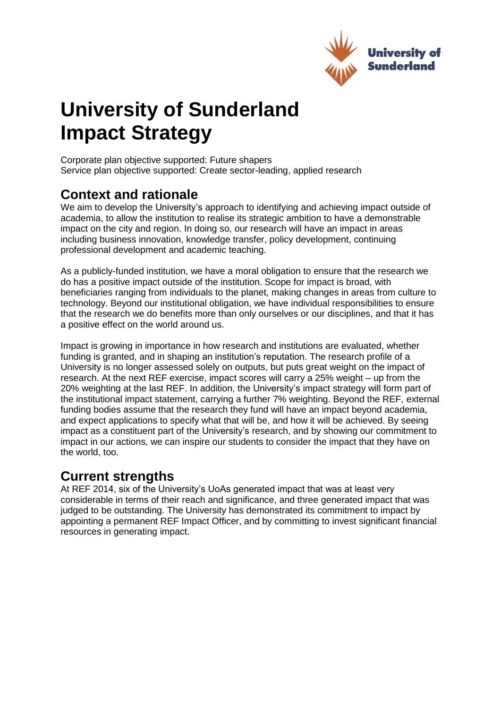

# **University of Sunderland Impact Strategy**

Corporate plan objective supported: Future shapers Service plan objective supported: Create sector-leading, applied research

# **Context and rationale**

We aim to develop the University's approach to identifying and achieving impact outside of academia, to allow the institution to realise its strategic ambition to have a demonstrable impact on the city and region. In doing so, our research will have an impact in areas including business innovation, knowledge transfer, policy development, continuing professional development and academic teaching.

As a publicly-funded institution, we have a moral obligation to ensure that the research we do has a positive impact outside of the institution. Scope for impact is broad, with beneficiaries ranging from individuals to the planet, making changes in areas from culture to technology. Beyond our institutional obligation, we have individual responsibilities to ensure that the research we do benefits more than only ourselves or our disciplines, and that it has a positive effect on the world around us.

Impact is growing in importance in how research and institutions are evaluated, whether funding is granted, and in shaping an institution's reputation. The research profile of a University is no longer assessed solely on outputs, but puts great weight on the impact of research. At the next REF exercise, impact scores will carry a 25% weight – up from the 20% weighting at the last REF. In addition, the University's impact strategy will form part of the institutional impact statement, carrying a further 7% weighting. Beyond the REF, external funding bodies assume that the research they fund will have an impact beyond academia, and expect applications to specify what that will be, and how it will be achieved. By seeing impact as a constituent part of the University's research, and by showing our commitment to impact in our actions, we can inspire our students to consider the impact that they have on the world, too.

# **Current strengths**

At REF 2014, six of the University's UoAs generated impact that was at least very considerable in terms of their reach and significance, and three generated impact that was judged to be outstanding. The University has demonstrated its commitment to impact by appointing a permanent REF Impact Officer, and by committing to invest significant financial resources in generating impact.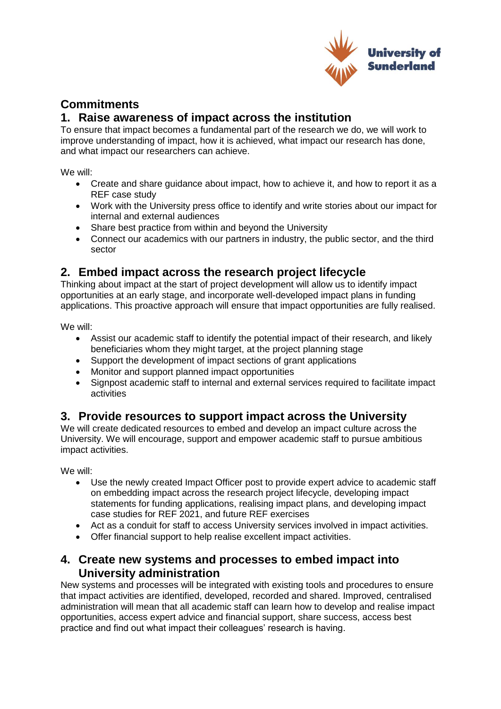

## **Commitments**

#### **1. Raise awareness of impact across the institution**

To ensure that impact becomes a fundamental part of the research we do, we will work to improve understanding of impact, how it is achieved, what impact our research has done, and what impact our researchers can achieve.

We will:

- Create and share guidance about impact, how to achieve it, and how to report it as a REF case study
- Work with the University press office to identify and write stories about our impact for internal and external audiences
- Share best practice from within and beyond the University
- Connect our academics with our partners in industry, the public sector, and the third sector

## **2. Embed impact across the research project lifecycle**

Thinking about impact at the start of project development will allow us to identify impact opportunities at an early stage, and incorporate well-developed impact plans in funding applications. This proactive approach will ensure that impact opportunities are fully realised.

We will:

- Assist our academic staff to identify the potential impact of their research, and likely beneficiaries whom they might target, at the project planning stage
- Support the development of impact sections of grant applications
- Monitor and support planned impact opportunities
- Signpost academic staff to internal and external services required to facilitate impact activities

### **3. Provide resources to support impact across the University**

We will create dedicated resources to embed and develop an impact culture across the University. We will encourage, support and empower academic staff to pursue ambitious impact activities.

We will:

- Use the newly created Impact Officer post to provide expert advice to academic staff on embedding impact across the research project lifecycle, developing impact statements for funding applications, realising impact plans, and developing impact case studies for REF 2021, and future REF exercises
- Act as a conduit for staff to access University services involved in impact activities.
- Offer financial support to help realise excellent impact activities.

#### **4. Create new systems and processes to embed impact into University administration**

New systems and processes will be integrated with existing tools and procedures to ensure that impact activities are identified, developed, recorded and shared. Improved, centralised administration will mean that all academic staff can learn how to develop and realise impact opportunities, access expert advice and financial support, share success, access best practice and find out what impact their colleagues' research is having.